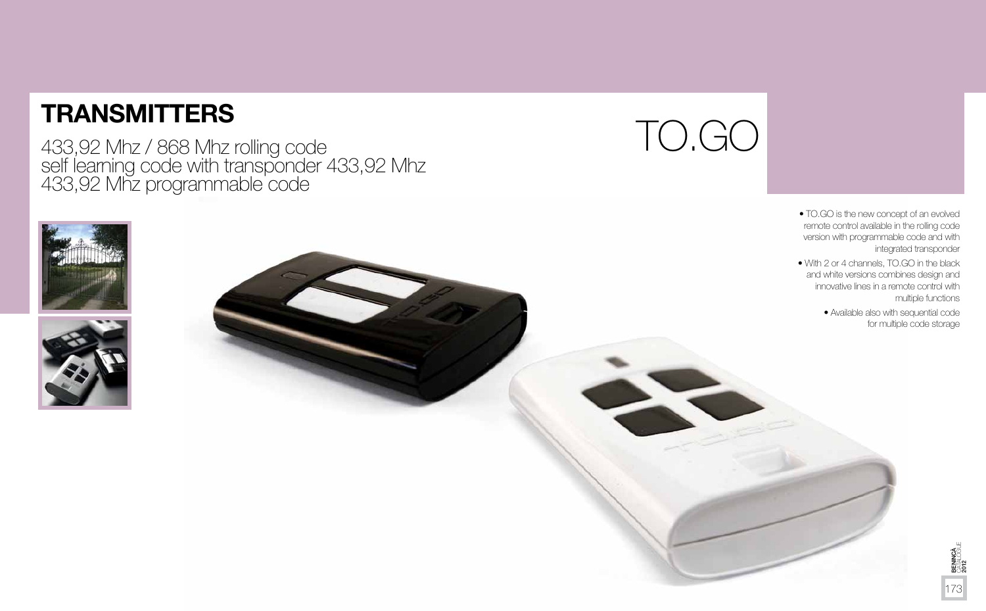# TO.GO







• TO.GO is the new concept of an evolved remote control available in the rolling code version with programmable code and with integrated transponder

• With 2 or 4 channels, TO.GO in the black and white versions combines design and innovative lines in a remote control with multiple functions



• Available also with sequential code for multiple code storage

# **TRANSMITTERS**

433,92 Mhz / 868 Mhz rolling code<br>self learning code with transponder 433,92 Mhz<br>433,92 Mhz programmable code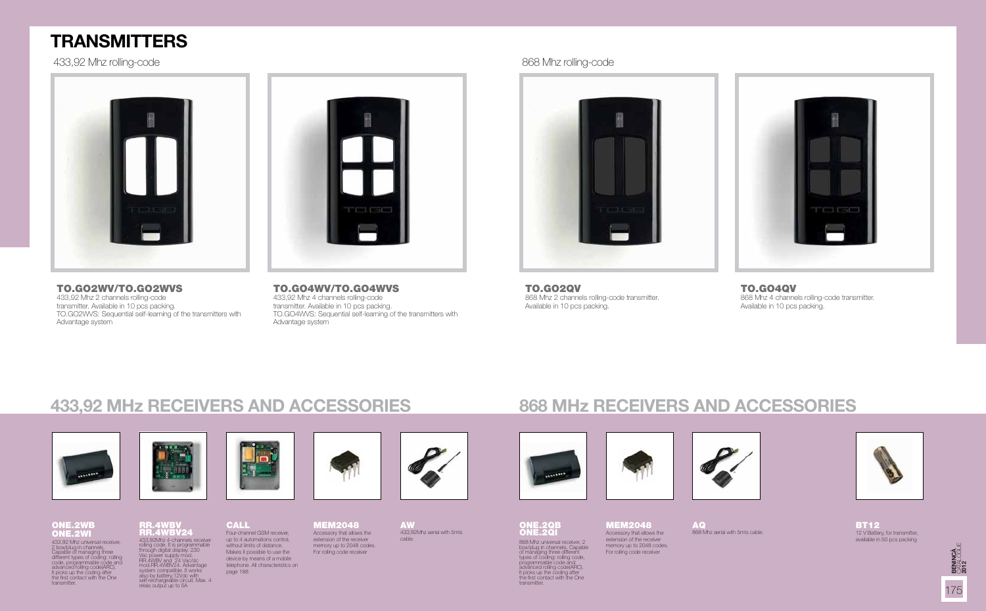

ONE.2QB ONE.2QI 868 Mhz universal receiver, 2 box/plug in channels. Capable of managing three different types of coding: rolling code, programmable code and<br>advanced rolling code(ARC). It picks up the coding after<br>the first contact with the One<br>transmitter



### ONE.2WB ONE.2WI

# **TRANSMITTERS**

### TO.GO2WV/TO.GO2WVS

433,92 Mhz 2 channels rolling-code transmitter. Available in 10 pcs packing. TO.GO2WVS: Sequential self-learning of the transmitters with Advantage system



### TO.GO4WV/TO.GO4WVS 433,92 Mhz 4 channels rolling-code

transmitter. Available in 10 pcs packing. TO.GO4WVS: Sequential self-learning of the transmitters with Advantage system



RR.4WBV RR.4WBV24 433,92Mhz 4-channels receiver rolling code. It is programmable<br>through digital display. 230<br>Vac power supply mod.<br>RR.4WBV and 24 Vac/dc<br>mod.RR.4WBV24. Advantage<br>system compatible. It works also by battery,12Vdc with self-rechargeable circuit. Max. 4 relais output up to 5A Four-channel GSM receiver, up to 4 automations control, without limits of distance. Makes it possible to use the device by means of a mobile telephone. All characteristics on page 188





 MEM2048Accessory that allows the extension of the receiver memory up to 2048 codes. For rolling code receiver



12 V Battery, for transmitter, available in 50 pcs packing

# **433,92 MHz RECEIVERS AND ACCESSORIES 868 MHz RECEIVERS AND ACCESSORIES**

**CALL** 





TO.GO2QV 868 Mhz 2 channels rolling-code transmitter. Available in 10 pcs packing.

### TO.GO4QV

868 Mhz 4 channels rolling-code transmitter. Available in 10 pcs packing.







433,92Mhz aerial with 5mts cable.



868 Mhz aerial with 5mts cable.



## 433,92 Mhz rolling-code 868 Mhz rolling-code



433.92 Mhz universal receiver, 2 box/plug in channels. Capable of managing three different types of coding: rolling code, programmable code and advanced rolling code(ARC). It picks up the coding after  $\dot{\ }$ <br>the first contact with the One transmitter.